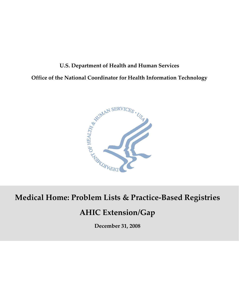# **U.S. Department of Health and Human Services Office of the National Coordinator for Health Information Technology**



### **Medical Home and Care Coordination Medical Home: Problem Lists & Practice‐Based Registries**

### **Draft AHIC Extension/Gap AHIC Extension/Gap**

**October 8, 2008 December 31, 2008**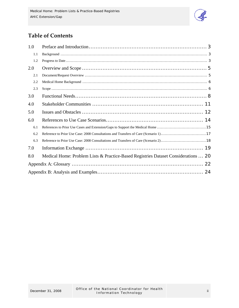

## **Table of Contents**

| 1.0 |                                                                                    |
|-----|------------------------------------------------------------------------------------|
| 1.1 |                                                                                    |
| 1.2 |                                                                                    |
| 2.0 |                                                                                    |
| 2.1 |                                                                                    |
| 2.2 |                                                                                    |
| 2.3 |                                                                                    |
| 3.0 |                                                                                    |
| 4.0 |                                                                                    |
| 5.0 |                                                                                    |
| 6.0 |                                                                                    |
| 6.1 |                                                                                    |
| 6.2 |                                                                                    |
| 6.3 |                                                                                    |
| 7.0 |                                                                                    |
| 8.0 | Medical Home: Problem Lists & Practice-Based Registries Dataset Considerations  20 |
|     |                                                                                    |
|     |                                                                                    |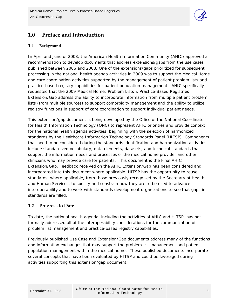

### <span id="page-2-0"></span>**1.0 Preface and Introduction**

#### **1.1 Background**

In April and June of 2008, the American Health Information Community (AHIC) approved a recommendation to develop documents that address extensions/gaps from the use cases published between 2006 and 2008. One of the extensions/gaps prioritized for subsequent processing in the national health agenda activities in 2009 was to support the Medical Home and care coordination activities supported by the management of patient problem lists and practice-based registry capabilities for patient population management. AHIC specifically requested that the 2009 Medical Home: Problem Lists & Practice-Based Registries Extension/Gap address the ability to incorporate information from multiple patient problem lists (from multiple sources) to support comorbidity management and the ability to utilize registry functions in support of care coordination to support individual patient needs.

This extension/gap document is being developed by the Office of the National Coordinator for Health Information Technology (ONC) to represent AHIC priorities and provide context for the national health agenda activities, beginning with the selection of harmonized standards by the Healthcare Information Technology Standards Panel (HITSP). Components that need to be considered during the standards identification and harmonization activities include standardized vocabulary, data elements, datasets, and technical standards that support the information needs and processes of the medical home provider and other clinicians who may provide care for patients. This document is the Final AHIC Extension/Gap. Feedback received on the AHIC Extension/Gap has been considered and incorporated into this document where applicable. HITSP has the opportunity to reuse standards, where applicable, from those previously recognized by the Secretary of Health and Human Services, to specify and constrain how they are to be used to advance interoperability and to work with standards development organizations to see that gaps in standards are filled.

#### **1.2 Progress to Date**

To date, the national health agenda, including the activities of AHIC and HITSP, has not formally addressed all of the interoperability considerations for the communication of problem list management and practice-based registry capabilities.

Previously published Use Case and Extension/Gap documents address many of the functions and information exchanges that may support the problem list management and patient population management within the medical home. These published documents incorporate several concepts that have been evaluated by HITSP and could be leveraged during activities supporting this extension/gap document.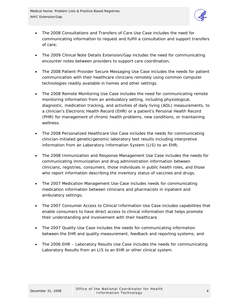

- The 2008 Consultations and Transfers of Care Use Case includes the need for communicating information to request and fulfill a consultation and support transfers of care;
- The 2009 Clinical Note Details Extension/Gap includes the need for communicating encounter notes between providers to support care coordination;
- The 2008 Patient-Provider Secure Messaging Use Case includes the needs for patient communication with their healthcare clinicians remotely using common computer technologies readily available in homes and other settings.
- The 2008 Remote Monitoring Use Case includes the need for communicating remote monitoring information from an ambulatory setting, including physiological, diagnostic, medication tracking, and activities of daily living (ADL) measurements, to a clinician's Electronic Health Record (EHR) or a patient's Personal Health Record (PHR) for management of chronic health problems, new conditions, or maintaining wellness.
- The 2008 Personalized Healthcare Use Case includes the needs for communicating clinician-initiated genetic/genomic laboratory test results including interpretive information from an Laboratory Information System (LIS) to an EHR;
- The 2008 Immunization and Response Management Use Case includes the needs for communicating immunization and drug administration information between clinicians, registries, consumers, those individuals in public health roles, and those who report information describing the inventory status of vaccines and drugs;
- The 2007 Medication Management Use Case includes needs for communicating medication information between clinicians and pharmacists in inpatient and ambulatory settings;
- The 2007 Consumer Access to Clinical Information Use Case includes capabilities that enable consumers to have direct access to clinical information that helps promote their understanding and involvement with their healthcare.
- The 2007 Quality Use Case includes the needs for communicating information between the EHR and quality measurement, feedback and reporting systems; and
- The 2006 EHR Laboratory Results Use Case includes the needs for communicating Laboratory Results from an LIS to an EHR or other clinical system.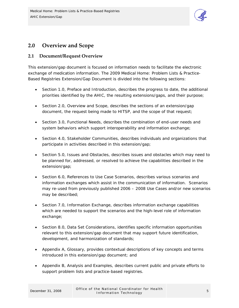

### <span id="page-4-0"></span>**2.0 Overview and Scope**

#### **2.1 Document/Request Overview**

This extension/gap document is focused on information needs to facilitate the electronic exchange of medication information. The 2009 Medical Home: Problem Lists & Practice-Based Registries Extension/Gap Document is divided into the following sections:

- Section 1.0, Preface and Introduction, describes the progress to date, the additional priorities identified by the AHIC, the resulting extensions/gaps, and their purpose;
- Section 2.0, Overview and Scope, describes the sections of an extension/gap document, the request being made to HITSP, and the scope of that request;
- Section 3.0, Functional Needs, describes the combination of end-user needs and system behaviors which support interoperability and information exchange;
- Section 4.0, Stakeholder Communities, describes individuals and organizations that participate in activities described in this extension/gap;
- Section 5.0, Issues and Obstacles, describes issues and obstacles which may need to be planned for, addressed, or resolved to achieve the capabilities described in the extension/gap;
- Section 6.0, References to Use Case Scenarios, describes various scenarios and information exchanges which assist in the communication of information. Scenarios may re-used from previously published 2006 – 2008 Use Cases and/or new scenarios may be described;
- Section 7.0, Information Exchange, describes information exchange capabilities which are needed to support the scenarios and the high-level role of information exchange;
- Section 8.0, Data Set Considerations, identifies specific information opportunities relevant to this extension/gap document that may support future identification, development, and harmonization of standards;
- Appendix A, Glossary, provides contextual descriptions of key concepts and terms introduced in this extension/gap document; and
- Appendix B, Analysis and Examples, describes current public and private efforts to support problem lists and practice-based registries.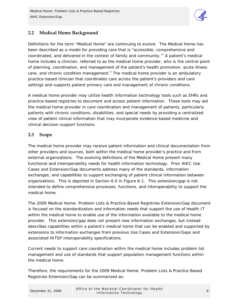

#### <span id="page-5-0"></span>**2.2 Medical Home Background**

Definitions for the term "Medical Home" are continuing to evolve. The Medical Home has been described as a model for providing care that is "accessible, comprehensive and coord[i](#page-26-0)nated, and delivered in the context of family and community."<sup>i</sup> A patient's medical home includes a clinician, referred to as the medical home provider, who is the central point of planning, coordination, and management of the patient's health promotion, acute illness care, and chronic condition management. $\mathbf{I}^{\parallel}$  The medical home provider is an ambulatory practice-based clinician that coordinates care across the patient's providers and care settings and supports patient primary care and management of chronic conditions.

A medical home provider may utilize health information technology tools such as EHRs and practice-based registries to document and access patient information. These tools may aid the medical home provider in care coordination and management of patients, particularly patients with chronic conditions, disabilities, and special needs by providing a centralized view of patient clinical information that may incorporate evidence-based medicine and clinical decision-support functions.

#### **2.3 Scope**

The medical home provider may receive patient information and clinical documentation from other providers and sources, both within the medical home provider's practice and from external organizations. The evolving definitions of the Medical Home present many functional and interoperability needs for health information technology. Prior AHIC Use Cases and Extension/Gap documents address many of the standards, information exchanges, and capabilities to support exchanging of patient clinical information between organizations. This is depicted in Section 6.0 in Figure 6-1. This extension/gap is not intended to define comprehensive processes, functions, and interoperability to support the medical home.

The 2009 Medical Home: Problem Lists & Practice-Based Registries Extension/Gap document is focused on the standardization and information needs that support the use of Health IT within the medical home to enable use of the information available to the medical home provider. This extension/gap does not present new information exchanges, but instead describes capabilities within a patient's medical home that can be enabled and supported by extensions to information exchanges from previous Use Cases and Extension/Gaps and associated HITSP interoperability specifications.

Current needs to support care coordination within the medical home includes problem list management and use of standards that support population management functions within the medical home.

Therefore, the requirements for the 2009 Medical Home: Problem Lists & Practice-Based Registries Extension/Gap can be summarized as: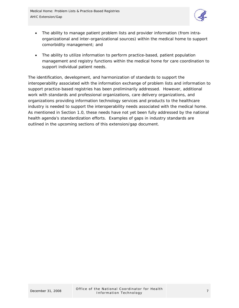

- The ability to manage patient problem lists and provider information (from intraorganizational and inter-organizational sources) within the medical home to support comorbidity management; and
- The ability to utilize information to perform practice-based, patient population management and registry functions within the medical home for care coordination to support individual patient needs.

The identification, development, and harmonization of standards to support the interoperability associated with the information exchange of problem lists and information to support practice-based registries has been preliminarily addressed. However, additional work with standards and professional organizations, care delivery organizations, and organizations providing information technology services and products to the healthcare industry is needed to support the interoperability needs associated with the medical home. As mentioned in Section 1.0, these needs have not yet been fully addressed by the national health agenda's standardization efforts. Examples of gaps in industry standards are outlined in the upcoming sections of this extension/gap document.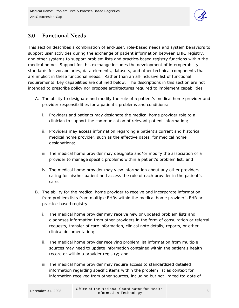

### <span id="page-7-0"></span>**3.0 Functional Needs**

This section describes a combination of end-user, role-based needs and system behaviors to support user activities during the exchange of patient information between EHR, registry, and other systems to support problem lists and practice-based registry functions within the medical home. Support for this exchange includes the development of interoperability standards for vocabularies, data elements, datasets, and other technical components that are implicit in these functional needs. Rather than an all-inclusive list of functional requirements, key capabilities are outlined below. The descriptions in this section are not intended to prescribe policy nor propose architectures required to implement capabilities.

- A. The ability to designate and modify the role of a patient's medical home provider and provider responsibilities for a patient's problems and conditions;
	- i. Providers and patients may designate the medical home provider role to a clinician to support the communication of relevant patient information;
	- ii. Providers may access information regarding a patient's current and historical medical home provider, such as the effective dates, for medical home designations;
	- iii. The medical home provider may designate and/or modify the association of a provider to manage specific problems within a patient's problem list; and
	- iv. The medical home provider may view information about any other providers caring for his/her patient and access the role of each provider in the patient's care.
- B. The ability for the medical home provider to receive and incorporate information from problem lists from multiple EHRs within the medical home provider's EHR or practice-based registry.
	- i. The medical home provider may receive new or updated problem lists and diagnoses information from other providers in the form of consultation or referral requests, transfer of care information, clinical note details, reports, or other clinical documentation;
	- ii. The medical home provider receiving problem list information from multiple sources may need to update information contained within the patient's health record or within a provider registry; and
	- iii. The medical home provider may require access to standardized detailed information regarding specific items within the problem list as context for information received from other sources, including but not limited to: date of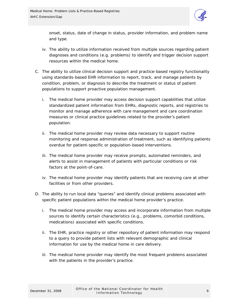

onset, status, date of change in status, provider information, and problem name and type.

- iv. The ability to utilize information received from multiple sources regarding patient diagnoses and conditions (e.g. problems) to identify and trigger decision support resources within the medical home.
- C. The ability to utilize clinical decision support and practice-based registry functionality using standards-based EHR information to report, track, and manage patients by condition, problem, or diagnosis to describe the treatment or status of patient populations to support proactive population management.
	- i. The medical home provider may access decision support capabilities that utilize standardized patient information from EHRs, diagnostic reports, and registries to monitor and manage adherence with care management and care coordination measures or clinical practice guidelines related to the provider's patient population.
	- ii. The medical home provider may review data necessary to support routine monitoring and response administration of treatment, such as identifying patients overdue for patient-specific or population-based interventions.
	- iii. The medical home provider may receive prompts, automated reminders, and alerts to assist in management of patients with particular conditions or risk factors at the point-of-care.
	- iv. The medical home provider may identify patients that are receiving care at other facilities or from other providers.
- D. The ability to run local data "queries" and identify clinical problems associated with specific patient populations within the medical home provider's practice.
	- i. The medical home provider may access and incorporate information from multiple sources to identify certain characteristics (e.g., problems, comorbid conditions, medications) associated with specific conditions.
	- ii. The EHR, practice registry or other repository of patient information may respond to a query to provide patient lists with relevant demographic and clinical information for use by the medical home in care delivery.
	- iii. The medical home provider may identify the most frequent problems associated with the patients in the provider's practice.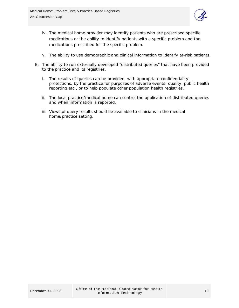

- iv. The medical home provider may identify patients who are prescribed specific medications or the ability to identify patients with a specific problem and the medications prescribed for the specific problem.
- v. The ability to use demographic and clinical information to identify at-risk patients.
- E. The ability to run externally developed "distributed queries" that have been provided to the practice and its registries.
	- i. The results of queries can be provided, with appropriate confidentiality protections, by the practice for purposes of adverse events, quality, public health reporting etc., or to help populate other population health registries.
	- ii. The local practice/medical home can control the application of distributed queries and when information is reported.
	- iii. Views of query results should be available to clinicians in the medical home/practice setting.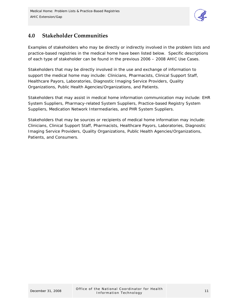

### <span id="page-10-0"></span>**4.0 Stakeholder Communities**

Examples of stakeholders who may be directly or indirectly involved in the problem lists and practice-based registries in the medical home have been listed below. Specific descriptions of each type of stakeholder can be found in the previous 2006 – 2008 AHIC Use Cases.

Stakeholders that may be directly involved in the use and exchange of information to support the medical home may include: Clinicians, Pharmacists, Clinical Support Staff, Healthcare Payors, Laboratories, Diagnostic Imaging Service Providers, Quality Organizations, Public Health Agencies/Organizations, and Patients.

Stakeholders that may assist in medical home information communication may include: EHR System Suppliers, Pharmacy-related System Suppliers, Practice-based Registry System Suppliers, Medication Network Intermediaries, and PHR System Suppliers.

Stakeholders that may be sources or recipients of medical home information may include: Clinicians, Clinical Support Staff, Pharmacists, Healthcare Payors, Laboratories, Diagnostic Imaging Service Providers, Quality Organizations, Public Health Agencies/Organizations, Patients, and Consumers.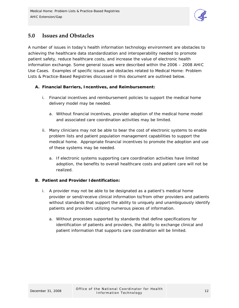

### <span id="page-11-0"></span>**5.0 Issues and Obstacles**

A number of issues in today's health information technology environment are obstacles to achieving the healthcare data standardization and interoperability needed to promote patient safety, reduce healthcare costs, and increase the value of electronic health information exchange. Some general issues were described within the 2006 – 2008 AHIC Use Cases. Examples of specific issues and obstacles related to Medical Home: Problem Lists & Practice-Based Registries discussed in this document are outlined below.

#### **A. Financial Barriers, Incentives, and Reimbursement:**

- i. Financial incentives and reimbursement policies to support the medical home delivery model may be needed.
	- a. Without financial incentives, provider adoption of the medical home model and associated care coordination activities may be limited.
- ii. Many clinicians may not be able to bear the cost of electronic systems to enable problem lists and patient population management capabilities to support the medical home. Appropriate financial incentives to promote the adoption and use of these systems may be needed.
	- a. If electronic systems supporting care coordination activities have limited adoption, the benefits to overall healthcare costs and patient care will not be realized.

#### **B. Patient and Provider Identification:**

- i. A provider may not be able to be designated as a patient's medical home provider or send/receive clinical information to/from other providers and patients without standards that support the ability to uniquely and unambiguously identify patients and providers utilizing numerous pieces of information.
	- a. Without processes supported by standards that define specifications for identification of patients and providers, the ability to exchange clinical and patient information that supports care coordination will be limited.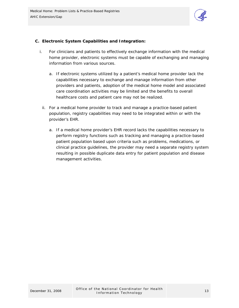

#### **C. Electronic System Capabilities and Integration:**

- i. For clinicians and patients to effectively exchange information with the medical home provider, electronic systems must be capable of exchanging and managing information from various sources.
	- a. If electronic systems utilized by a patient's medical home provider lack the capabilities necessary to exchange and manage information from other providers and patients, adoption of the medical home model and associated care coordination activities may be limited and the benefits to overall healthcare costs and patient care may not be realized.
	- ii. For a medical home provider to track and manage a practice-based patient population, registry capabilities may need to be integrated within or with the provider's EHR.
		- a. If a medical home provider's EHR record lacks the capabilities necessary to perform registry functions such as tracking and managing a practice-based patient population based upon criteria such as problems, medications, or clinical practice guidelines, the provider may need a separate registry system resulting in possible duplicate data entry for patient population and disease management activities.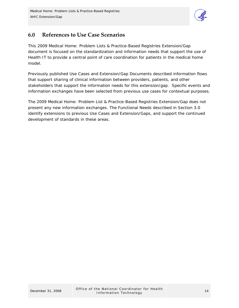

### <span id="page-13-0"></span>**6.0 References to Use Case Scenarios**

This 2009 Medical Home: Problem Lists & Practice-Based Registries Extension/Gap document is focused on the standardization and information needs that support the use of Health IT to provide a central point of care coordination for patients in the medical home model.

Previously published Use Cases and Extension/Gap Documents described information flows that support sharing of clinical information between providers, patients, and other stakeholders that support the information needs for this extension/gap. Specific events and information exchanges have been selected from previous use cases for contextual purposes.

The 2009 Medical Home: Problem List & Practice-Based Registries Extension/Gap does not present any new information exchanges. The Functional Needs described in Section 3.0 identify extensions to previous Use Cases and Extension/Gaps, and support the continued development of standards in these areas.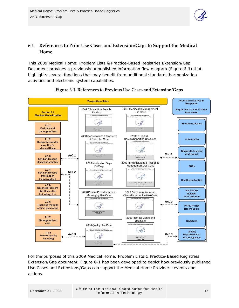

### <span id="page-14-0"></span>**6.1 References to Prior Use Cases and Extension/Gaps to Support the Medical Home**

This 2009 Medical Home: Problem Lists & Practice-Based Registries Extension/Gap Document provides a previously unpublished information flow diagram (Figure 6-1) that highlights several functions that may benefit from additional standards harmonization activities and electronic system capabilities.



#### **Figure 6‐1. References to Previous Use Cases and Extension/Gaps**

For the purposes of this 2009 Medical Home: Problem Lists & Practice-Based Registries Extension/Gap document, Figure 6-1 has been developed to depict how previously published Use Cases and Extensions/Gaps can support the Medical Home Provider's events and actions.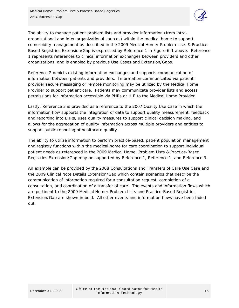

The ability to manage patient problem lists and provider information (from intraorganizational and inter-organizational sources) within the medical home to support comorbidity management as described in the 2009 Medical Home: Problem Lists & Practice-Based Registries Extension/Gap is expressed by Reference 1 in Figure 6-1 above. Reference 1 represents references to clinical information exchanges between providers and other organizations, and is enabled by previous Use Cases and Extension/Gaps.

Reference 2 depicts existing information exchanges and supports communication of information between patients and providers. Information communicated via patientprovider secure messaging or remote monitoring may be utilized by the Medical Home Provider to support patient care. Patients may communicate provider lists and access permissions for information accessible via PHRs or HIE to the Medical Home Provider.

Lastly, Reference 3 is provided as a reference to the 2007 Quality Use Case in which the information flow supports the integration of data to support quality measurement, feedback and reporting into EHRs, uses quality measures to support clinical decision making, and allows for the aggregation of quality information across multiple providers and entities to support public reporting of healthcare quality.

The ability to utilize information to perform practice-based, patient population management and registry functions within the medical home for care coordination to support individual patient needs as referenced in the 2009 Medical Home: Problem Lists & Practice-Based Registries Extension/Gap may be supported by Reference 1, Reference 1, and Reference 3.

An example can be provided by the 2008 Consultations and Transfers of Care Use Case and the 2009 Clinical Note Details Extension/Gap which contain scenarios that describe the communication of information required for a consultation request, completion of a consultation, and coordination of a transfer of care. The events and information flows which are pertinent to the 2009 Medical Home: Problem Lists and Practice-Based Registries Extension/Gap are shown in bold. All other events and information flows have been faded out.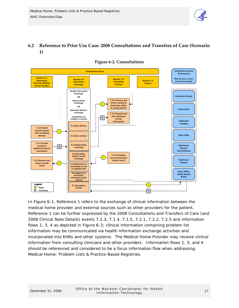

#### <span id="page-16-0"></span>**6.2 Reference to Prior Use Case: 2008 Consultations and Transfers of Care (Scenario 1)**



#### **Figure 6‐2. Consultations**

In Figure 6-1, Reference 1 refers to the exchange of clinical information between the medical home provider and external sources such as other providers for the patient. Reference 1 can be further expressed by the 2008 Consultations and Transfers of Care (and 2008 Clinical Note Details) events 7.1.3, 7.1.4, 7.1.5, 7.2.1, 7.2.2, 7.2.5 and information flows 1, 3, 4 as depicted in Figure 6-3; clinical information containing problem list information may be communicated via health information exchange activities and incorporated into EHRs and other systems. The Medical Home Provider may receive clinical information from consulting clinicians and other providers. Information flows 1, 3, and 4 should be referenced and considered to be a focus information flow when addressing Medical Home: Problem Lists & Practice-Based Registries.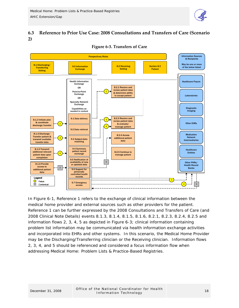

#### <span id="page-17-0"></span>**6.3 Reference to Prior Use Case: 2008 Consultations and Transfers of Care (Scenario 2)**



**Figure 6‐3. Transfers of Care**

In Figure 6-1, Reference 1 refers to the exchange of clinical information between the medical home provider and external sources such as other providers for the patient. Reference 1 can be further expressed by the 2008 Consultations and Transfers of Care (and 2008 Clinical Note Details) events 8.1.3, 8.1.4, 8.1.5, 8.1.6, 8.2.1, 8.2.3, 8.2.4, 8.2.5 and information flows 2, 3, 4, 5 as depicted in Figure 6-3; clinical information containing problem list information may be communicated via health information exchange activities and incorporated into EHRs and other systems. In this scenario, the Medical Home Provider may be the Discharging/Transferring clinician or the Receiving clinician. Information flows 2, 3, 4, and 5 should be referenced and considered a focus information flow when addressing Medical Home: Problem Lists & Practice-Based Registries.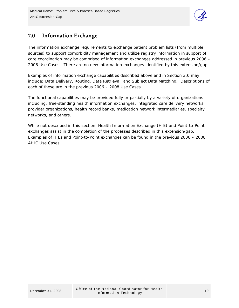

### <span id="page-18-0"></span>**7.0 Information Exchange**

The information exchange requirements to exchange patient problem lists (from multiple sources) to support comorbidity management and utilize registry information in support of care coordination may be comprised of information exchanges addressed in previous 2006 – 2008 Use Cases. There are no new information exchanges identified by this extension/gap.

Examples of information exchange capabilities described above and in Section 3.0 may include: Data Delivery, Routing, Data Retrieval, and Subject Data Matching. Descriptions of each of these are in the previous 2006 – 2008 Use Cases.

The functional capabilities may be provided fully or partially by a variety of organizations including: free-standing health information exchanges, integrated care delivery networks, provider organizations, health record banks, medication network intermediaries, specialty networks, and others.

While not described in this section, Health Information Exchange (HIE) and Point-to-Point exchanges assist in the completion of the processes described in this extension/gap. Examples of HIEs and Point-to-Point exchanges can be found in the previous 2006 – 2008 AHIC Use Cases.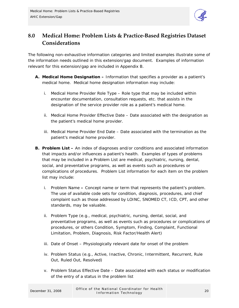

### <span id="page-19-0"></span>**8.0 Medical Home: Problem Lists & Practice‐Based Registries Dataset Considerations**

The following non-exhaustive information categories and limited examples illustrate some of the information needs outlined in this extension/gap document. Examples of information relevant for this extension/gap are included in Appendix B.

- **A. Medical Home Designation** Information that specifies a provider as a patient's medical home. Medical home designation information may include:
	- i. Medical Home Provider Role Type Role type that may be included within encounter documentation, consultation requests, etc. that assists in the designation of the service provider role as a patient's medical home.
	- ii. Medical Home Provider Effective Date Date associated with the designation as the patient's medical home provider.
	- iii. Medical Home Provider End Date Date associated with the termination as the patient's medical home provider.
- **B. Problem List** An index of diagnoses and/or conditions and associated information that impacts and/or influences a patient's health. Examples of types of problems that may be included in a Problem List are medical, psychiatric, nursing, dental, social, and preventative programs, as well as events such as procedures or complications of procedures. Problem List information for each item on the problem list may include:
	- i. Problem NameConcept name or term that represents the patient's problem. The use of available code sets for condition, diagnosis, procedures, and chief complaint such as those addressed by LOINC, SNOMED CT, ICD, CPT, and other standards, may be valuable.
	- ii. Problem Type (e.g., medical, psychiatric, nursing, dental, social, and preventative programs, as well as events such as procedures or complications of procedures, or others Condition, Symptom, Finding, Complaint, Functional Limitation, Problem, Diagnosis, Risk Factor/Health Alert)
	- iii. Date of Onset Physiologically relevant date for onset of the problem
	- iv. Problem Status (e.g., Active, Inactive, Chronic, Intermittent, Recurrent, Rule Out, Ruled Out, Resolved)
	- v. Problem Status Effective Date Date associated with each status or modification of the entry of a status in the problem list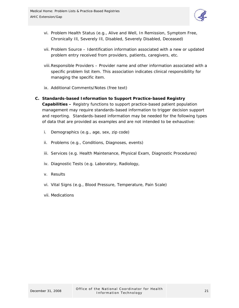

- vi. Problem Health Status (e.g., Alive and Well, In Remission, Symptom Free, Chronically Ill, Severely Ill, Disabled, Severely Disabled, Deceased)
- vii. Problem Source Identification information associated with a new or updated problem entry received from providers, patients, caregivers, etc.
- viii.Responsible Providers Provider name and other information associated with a specific problem list item. This association indicates clinical responsibility for managing the specific item.
- ix. Additional Comments/Notes (free text)

#### **C. Standards-based Information to Support Practice-based Registry Capabilities –** Registry functions to support practice-based patient population management may require standards-based information to trigger decision support and reporting. Standards-based information may be needed for the following types of data that are provided as examples and are not intended to be exhaustive:

- i. Demographics (e.g., age, sex, zip code)
- ii. Problems (e.g., Conditions, Diagnoses, events)
- iii. Services (e.g. Health Maintenance, Physical Exam, Diagnostic Procedures)
- iv. Diagnostic Tests (e.g. Laboratory, Radiology,
- v. Results
- vi. Vital Signs (e.g., Blood Pressure, Temperature, Pain Scale)
- vii. Medications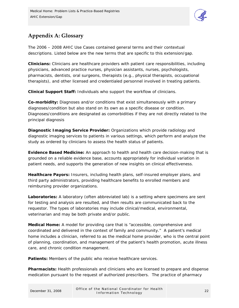

## <span id="page-21-0"></span>**Appendix A: Glossary**

The 2006 – 2008 AHIC Use Cases contained general terms and their contextual descriptions. Listed below are the new terms that are specific to this extension/gap.

**Clinicians:** Clinicians are healthcare providers with patient care responsibilities, including physicians, advanced practice nurses, physician assistants, nurses, psychologists, pharmacists, dentists, oral surgeons, therapists (e.g., physical therapists, occupational therapists), and other licensed and credentialed personnel involved in treating patients.

**Clinical Support Staff:** Individuals who support the workflow of clinicians.

**Co-morbidity:** Diagnoses and/or conditions that exist simultaneously with a primary diagnoses/condition but also stand on its own as a specific disease or condition. Diagnoses/conditions are designated as comorbidities if they are not directly related to the principal diagnosis

**Diagnostic Imaging Service Provider:** Organizations which provide radiology and diagnostic imaging services to patients in various settings, which perform and analyze the study as ordered by clinicians to assess the health status of patients.

**Evidence Based Medicine:** An approach to health and health care decision-making that is grounded on a reliable evidence base, accounts appropriately for individual variation in patient needs, and supports the generation of new insights on clinical effectiveness.

**Healthcare Payors:** Insurers, including health plans, self-insured employer plans, and third party administrators, providing healthcare benefits to enrolled members and reimbursing provider organizations.

**Laboratories:** A laboratory (often abbreviated lab) is a setting where specimens are sent for testing and analysis are resulted, and then results are communicated back to the requestor. The types of laboratories may include clinical/medical, environmental, veterinarian and may be both private and/or public.

**Medical Home:** A model for providing care that is "accessible, comprehensive and coordinated and delivered in the context of family and community." A patient's medical home includes a clinician, referred to as the medical home provider, who is the central point of planning, coordination, and management of the patient's health promotion, acute illness care, and chronic condition management.

**Patients:** Members of the public who receive healthcare services.

**Pharmacists:** Health professionals and clinicians who are licensed to prepare and dispense medication pursuant to the request of authorized prescribers. The practice of pharmacy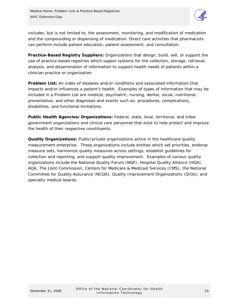

includes, but is not limited to, the assessment, monitoring, and modification of medication and the compounding or dispensing of medication. Direct care activities that pharmacists can perform include patient education, patient assessment, and consultation.

**Practice-Based Registry Suppliers:** Organizations that design, build, sell, or support the use of practice based registries which support systems for the collection, storage, retrieval, analysis, and dissemination of information to support health needs of patients within a clinician practice or organization.

**Problem List:** An index of diseases and/or conditions and associated information that impacts and/or influences a patient's health. Examples of types of information that may be included in a Problem List are medical, psychiatric, nursing, dental, social, nutritional, preventative, and other diagnoses and events such as: procedures, complications, disabilities, and functional limitations.

**Public Health Agencies/Organizations:** Federal, state, local, territorial, and tribal government organizations and clinical care personnel that exist to help protect and improve the health of their respective constituents.

**Quality Organizations:** Public/private organizations active in the healthcare quality measurement enterprise. These organizations include entities which set priorities, endorse measure sets, harmonize quality measures across settings, establish guidelines for collection and reporting, and support quality improvement. Examples of various quality organizations include the National Quality Forum (NQF), Hospital Quality Alliance (HQA), AQA, The Joint Commission, Centers for Medicare & Medicaid Services (CMS), the National Committee for Quality Assurance (NCQA), Quality Improvement Organizations (QIOs), and specialty medical boards.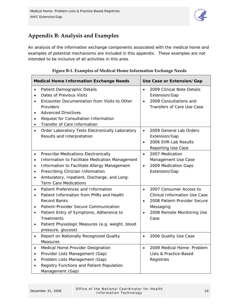

### <span id="page-23-0"></span>**Appendix B: Analysis and Examples**

An analysis of the information exchange components associated with the medical home and examples of potential mechanisms are included in this appendix. These examples are not intended to be inclusive of all activities in this area.

| <b>Medical Home Information Exchange Needs</b>        |                                                                                                                                                                                                                                                                                    |                                     | Use Case or Extension/Gap                                                                                                                          |  |  |
|-------------------------------------------------------|------------------------------------------------------------------------------------------------------------------------------------------------------------------------------------------------------------------------------------------------------------------------------------|-------------------------------------|----------------------------------------------------------------------------------------------------------------------------------------------------|--|--|
| $\bullet$<br>$\bullet$<br>$\bullet$<br>$\bullet$<br>٠ | Patient Demographic Details<br>Dates of Previous Visits<br>Encounter Documentation from Visits to Other<br>Providers<br><b>Advanced Directives</b><br>Request for Consultation Information<br>Transfer of Care Information                                                         | $\bullet$<br>$\bullet$              | 2009 Clinical Note Details<br>Extension/Gap<br>2008 Consultations and<br>Transfers of Care Use Case                                                |  |  |
|                                                       | Order Laboratory Tests Electronically Laboratory<br>Results and Interpretation                                                                                                                                                                                                     | $\bullet$<br>$\bullet$              | 2009 General Lab Orders<br>Extension/Gap<br>2006 EHR-Lab Results<br><b>Reporting Use Case</b>                                                      |  |  |
| $\bullet$<br>$\bullet$<br>$\bullet$<br>$\bullet$      | Prescribe Medications Electronically<br>Information to Facilitate Medication Management<br>Information to Facilitate Allergy Management<br>Prescribing Clinician Information<br>Ambulatory, Inpatient, Discharge, and Long-<br><b>Term Care Medications</b>                        | $\bullet$<br>$\bullet$              | 2007 Medication<br>Management Use Case<br>2009 Medication Gaps<br>Extension/Gap                                                                    |  |  |
| $\bullet$<br>$\bullet$<br>$\bullet$<br>$\bullet$      | Patient Preferences and Information<br>Patient Information from PHRs and Health<br><b>Record Banks</b><br>Patient-Provider Secure Communication<br>Patient Entry of Symptoms, Adherence to<br>Treatments<br>Patient Physiologic Measures (e.g. weight, blood<br>pressure, glucose) | $\bullet$<br>$\bullet$<br>$\bullet$ | 2007 Consumer Access to<br><b>Clinical Information Use Case</b><br>2008 Patient-Provider Secure<br>Messaging<br>2008 Remote Monitoring Use<br>Case |  |  |
|                                                       | Report on Nationally Recognized Quality<br>Measures                                                                                                                                                                                                                                | $\bullet$                           | 2006 Quality Use Case                                                                                                                              |  |  |
| $\bullet$<br>٠<br>٠                                   | Medical Home Provider Designation<br>Provider Lists Management (Gap)<br>Problem Lists Management (Gap)<br>Registry Functions and Patient Population<br>Management (Gap)                                                                                                            | $\bullet$                           | 2009 Medical Home: Problem<br>Lists & Practice-Based<br>Registries                                                                                 |  |  |

#### **Figure B‐1. Examples of Medical Home Information Exchange Needs**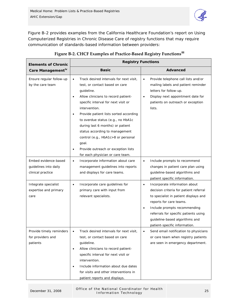

Figure B-2 provides examples from the California Healthcare Foundation's report on *Using Computerized Registries in Chronic Disease Care* of registry functions that may require communication of standards-based information between providers:

| <b>Elements of Chronic</b>                                         | <b>Registry Functions</b>                                                                                                                                                                                                                                                                                                                                                                                                                                                                            |                                                                                                                                                                                                                                                                                                           |  |  |  |
|--------------------------------------------------------------------|------------------------------------------------------------------------------------------------------------------------------------------------------------------------------------------------------------------------------------------------------------------------------------------------------------------------------------------------------------------------------------------------------------------------------------------------------------------------------------------------------|-----------------------------------------------------------------------------------------------------------------------------------------------------------------------------------------------------------------------------------------------------------------------------------------------------------|--|--|--|
| Care Management <sup>IV</sup>                                      | <b>Basic</b>                                                                                                                                                                                                                                                                                                                                                                                                                                                                                         | <b>Advanced</b>                                                                                                                                                                                                                                                                                           |  |  |  |
| Ensure regular follow-up<br>by the care team                       | Track desired intervals for next visit,<br>$\bullet$<br>test, or contact based on care<br>guideline.<br>Allow clinicians to record patient-<br>specific interval for next visit or<br>intervention.<br>Provide patient lists sorted according<br>$\bullet$<br>to overdue status (e.g., no HbA1c<br>during last 6 months) or patient<br>status according to management<br>control (e.g., HbA1c>8 or personal<br>goal.<br>Provide outreach or exception lists<br>٠<br>for each physician or care team. | Provide telephone call lists and/or<br>$\bullet$<br>mailing labels and patient reminder<br>letters for follow-up.<br>Display next appointment date for<br>$\bullet$<br>patients on outreach or exception<br>lists.                                                                                        |  |  |  |
| Embed evidence-based<br>guidelines into daily<br>clinical practice | Incorporate information about care<br>$\bullet$<br>management guidelines into reports<br>and displays for care teams.                                                                                                                                                                                                                                                                                                                                                                                | Include prompts to recommend<br>$\bullet$<br>changes in patient care plan using<br>guideline-based algorithms and<br>patient specific information.                                                                                                                                                        |  |  |  |
| Integrate specialist<br>expertise and primary<br>care              | Incorporate care guidelines for<br>٠<br>primary care with input from<br>relevant specialists.                                                                                                                                                                                                                                                                                                                                                                                                        | Incorporate information about<br>٠<br>decision criteria for patient referral<br>to specialist in patient displays and<br>reports for care teams.<br>Include prompts recommending<br>$\bullet$<br>referrals for specific patients using<br>guideline-based algorithms and<br>patient-specific information. |  |  |  |
| Provide timely reminders<br>for providers and<br>patients          | Track desired intervals for next visit,<br>$\bullet$<br>test, or contact based on care<br>guideline.<br>Allow clinicians to record patient-<br>$\bullet$<br>specific interval for next visit or<br>intervention.<br>Include information about due dates<br>$\bullet$<br>for visits and other interventions in<br>patient reports and displays.                                                                                                                                                       | Send email notification to physicians<br>$\bullet$<br>or care team when registry patients<br>are seen in emergency department.                                                                                                                                                                            |  |  |  |

**Figure B‐2. CHCF Examples of Practice‐Based Registry Functions[iii](#page-26-2)**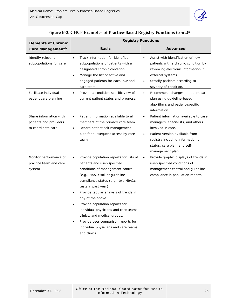

| <b>Elements of Chronic</b>                                             | <b>Registry Functions</b>                                                                                                                                                                                                                                                                                                                                                                                                                                                                                                              |                                                                                                                                                                                                                                                      |  |  |  |
|------------------------------------------------------------------------|----------------------------------------------------------------------------------------------------------------------------------------------------------------------------------------------------------------------------------------------------------------------------------------------------------------------------------------------------------------------------------------------------------------------------------------------------------------------------------------------------------------------------------------|------------------------------------------------------------------------------------------------------------------------------------------------------------------------------------------------------------------------------------------------------|--|--|--|
| Care Management <sup>iv</sup>                                          | <b>Basic</b>                                                                                                                                                                                                                                                                                                                                                                                                                                                                                                                           | Advanced                                                                                                                                                                                                                                             |  |  |  |
| Identify relevant<br>subpopulations for care                           | Track information for identified<br>$\bullet$<br>subpopulations of patients with a<br>designated chronic condition.<br>Manage the list of active and<br>$\bullet$<br>engaged patients for each PCP and<br>care team.                                                                                                                                                                                                                                                                                                                   | Assist with identification of new<br>$\bullet$<br>patients with a chronic condition by<br>reviewing electronic information in<br>external systems.<br>Stratify patients according to<br>$\bullet$<br>severity of condition.                          |  |  |  |
| Facilitate individual<br>patient care planning                         | Provide a condition-specific view of<br>$\bullet$<br>current patient status and progress.                                                                                                                                                                                                                                                                                                                                                                                                                                              | Recommend changes in patient care<br>$\bullet$<br>plan using guideline-based<br>algorithms and patient-specific<br>information.                                                                                                                      |  |  |  |
| Share information with<br>patients and providers<br>to coordinate care | Patient information available to all<br>$\bullet$<br>members of the primary care team.<br>Record patient self management<br>$\bullet$<br>plan for subsequent access by care<br>team.                                                                                                                                                                                                                                                                                                                                                   | Patient information available to case<br>$\bullet$<br>managers, specialists, and others<br>involved in care.<br>Patient version available from<br>$\bullet$<br>registry including information on<br>status, care plan, and self-<br>management plan. |  |  |  |
| Monitor performance of<br>practice team and care<br>system             | Provide population reports for lists of<br>$\bullet$<br>patients and user-specified<br>conditions of management control<br>$(e.g., HbA1c<8)$ or guideline<br>compliance status (e.g., two HbA1c<br>tests in past year).<br>Provide tabular analysis of trends in<br>$\bullet$<br>any of the above.<br>Provide population reports for<br>$\bullet$<br>individual physicians and care teams,<br>clinics, and medical groups.<br>Provide peer comparison reports for<br>$\bullet$<br>individual physicians and care teams<br>and clinics. | Provide graphic displays of trends in<br>$\bullet$<br>user-specified conditions of<br>management control and guideline<br>compliance in population reports.                                                                                          |  |  |  |

|  |  | Figure B-3. CHCF Examples of Practice-Based Registry Functions (cont.)iii |  |
|--|--|---------------------------------------------------------------------------|--|
|  |  |                                                                           |  |